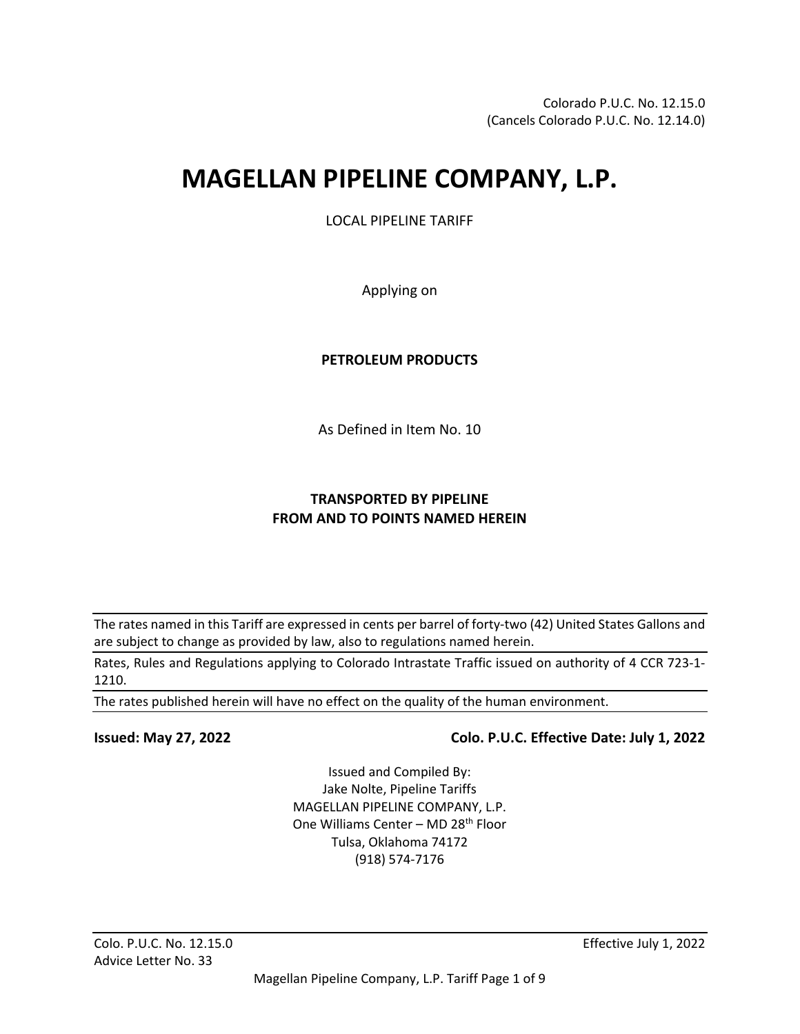# **MAGELLAN PIPELINE COMPANY, L.P.**

LOCAL PIPELINE TARIFF

Applying on

#### **PETROLEUM PRODUCTS**

As Defined in Item No. 10

### **TRANSPORTED BY PIPELINE FROM AND TO POINTS NAMED HEREIN**

The rates named in this Tariff are expressed in cents per barrel of forty-two (42) United States Gallons and are subject to change as provided by law, also to regulations named herein.

Rates, Rules and Regulations applying to Colorado Intrastate Traffic issued on authority of 4 CCR 723-1- 1210.

The rates published herein will have no effect on the quality of the human environment.

#### **Issued: May 27, 2022 Colo. P.U.C. Effective Date: July 1, 2022**

Issued and Compiled By: Jake Nolte, Pipeline Tariffs MAGELLAN PIPELINE COMPANY, L.P. One Williams Center - MD 28<sup>th</sup> Floor Tulsa, Oklahoma 74172 (918) 574-7176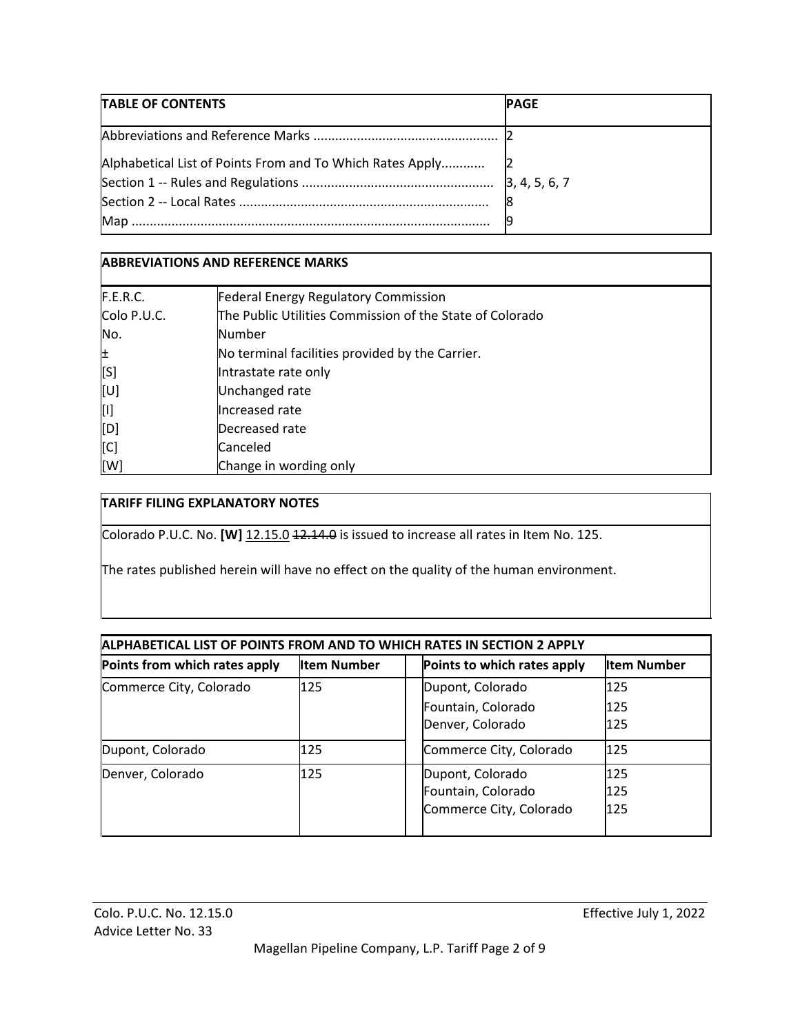| TABLE OF CONTENTS | <b>PAGE</b> |
|-------------------|-------------|
|                   |             |
|                   |             |
|                   |             |
|                   |             |
| Map.              |             |

# **ABBREVIATIONS AND REFERENCE MARKS**

| F.E.R.C.    | <b>Federal Energy Regulatory Commission</b>              |
|-------------|----------------------------------------------------------|
| Colo P.U.C. | The Public Utilities Commission of the State of Colorado |
| No.         | Number                                                   |
| 비           | No terminal facilities provided by the Carrier.          |
| [S]         | Intrastate rate only                                     |
| [ט]         | Unchanged rate                                           |
| [I]         | Increased rate                                           |
| [D]         | Decreased rate                                           |
| [C]         | Canceled                                                 |
| [W]         | Change in wording only                                   |

### **TARIFF FILING EXPLANATORY NOTES**

Colorado P.U.C. No. **[W]** 12.15.0 12.14.0 is issued to increase all rates in Item No. 125.

The rates published herein will have no effect on the quality of the human environment.

| ALPHABETICAL LIST OF POINTS FROM AND TO WHICH RATES IN SECTION 2 APPLY |                    |  |                             |                    |
|------------------------------------------------------------------------|--------------------|--|-----------------------------|--------------------|
| Points from which rates apply                                          | <b>Item Number</b> |  | Points to which rates apply | <b>Item Number</b> |
| Commerce City, Colorado                                                | 125                |  | Dupont, Colorado            | 125                |
|                                                                        |                    |  | Fountain, Colorado          | 125                |
|                                                                        |                    |  | Denver, Colorado            | 125                |
| Dupont, Colorado                                                       | 125                |  | Commerce City, Colorado     | 125                |
| Denver, Colorado                                                       | 125                |  | Dupont, Colorado            | 125                |
|                                                                        |                    |  | Fountain, Colorado          | 125                |
|                                                                        |                    |  | Commerce City, Colorado     | 125                |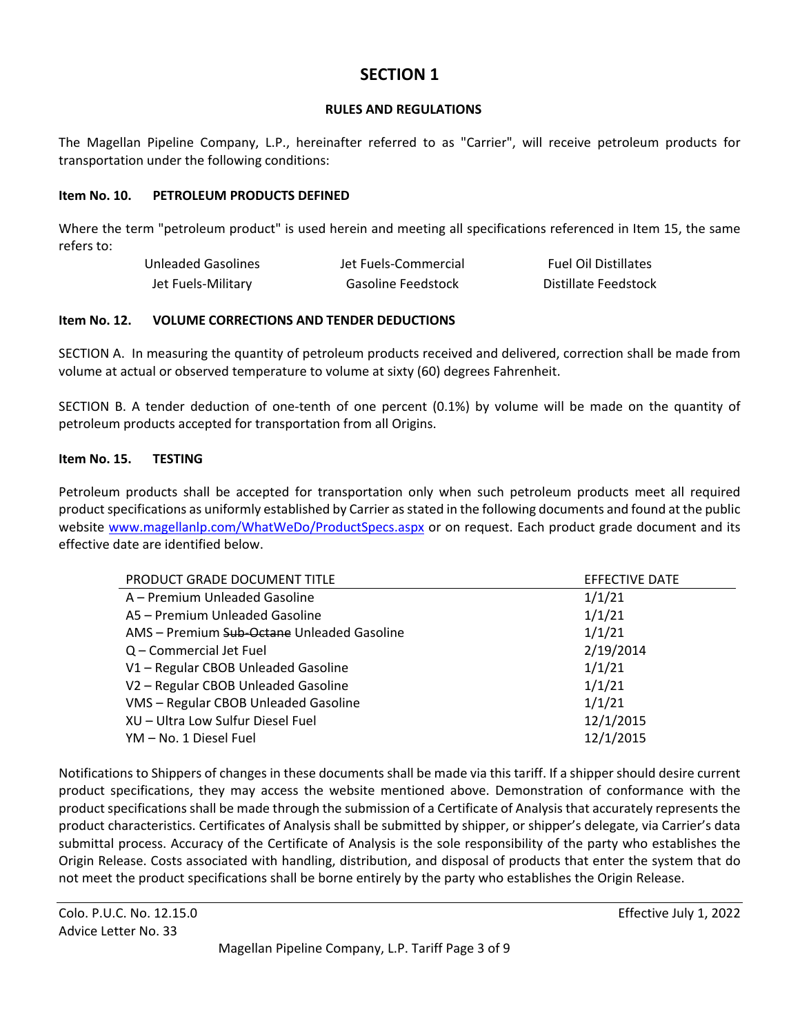# **SECTION 1**

#### **RULES AND REGULATIONS**

The Magellan Pipeline Company, L.P., hereinafter referred to as "Carrier", will receive petroleum products for transportation under the following conditions:

#### **Item No. 10. PETROLEUM PRODUCTS DEFINED**

Where the term "petroleum product" is used herein and meeting all specifications referenced in Item 15, the same refers to:

| Unleaded Gasolines | Jet Fuels-Commercial | <b>Fuel Oil Distillates</b> |
|--------------------|----------------------|-----------------------------|
| Jet Fuels-Military | Gasoline Feedstock   | Distillate Feedstock        |

#### **Item No. 12. VOLUME CORRECTIONS AND TENDER DEDUCTIONS**

SECTION A. In measuring the quantity of petroleum products received and delivered, correction shall be made from volume at actual or observed temperature to volume at sixty (60) degrees Fahrenheit.

SECTION B. A tender deduction of one-tenth of one percent (0.1%) by volume will be made on the quantity of petroleum products accepted for transportation from all Origins.

#### **Item No. 15. TESTING**

Petroleum products shall be accepted for transportation only when such petroleum products meet all required product specifications as uniformly established by Carrier as stated in the following documents and found at the public website [www.magellanlp.com/WhatWeDo/ProductSpecs.aspx](file://mmplp.net/share$/Compliance_and_Tariff/Tariff/99yr/bat/Regulatory-Tariffs/Tariffs/MPL,%20LP/COPUC/Current%20Tariffs/www.magellanlp.com/WhatWeDo/ProductSpecs.aspx) or on request. Each product grade document and its effective date are identified below.

| PRODUCT GRADE DOCUMENT TITLE               | <b>EFFECTIVE DATE</b> |
|--------------------------------------------|-----------------------|
| A – Premium Unleaded Gasoline              | 1/1/21                |
| A5 - Premium Unleaded Gasoline             | 1/1/21                |
| AMS – Premium Sub-Octane Unleaded Gasoline | 1/1/21                |
| Q - Commercial Jet Fuel                    | 2/19/2014             |
| V1 - Regular CBOB Unleaded Gasoline        | 1/1/21                |
| V2 - Regular CBOB Unleaded Gasoline        | 1/1/21                |
| VMS - Regular CBOB Unleaded Gasoline       | 1/1/21                |
| XU - Ultra Low Sulfur Diesel Fuel          | 12/1/2015             |
| YM – No. 1 Diesel Fuel                     | 12/1/2015             |

Notifications to Shippers of changes in these documents shall be made via this tariff. If a shipper should desire current product specifications, they may access the website mentioned above. Demonstration of conformance with the product specifications shall be made through the submission of a Certificate of Analysis that accurately represents the product characteristics. Certificates of Analysis shall be submitted by shipper, or shipper's delegate, via Carrier's data submittal process. Accuracy of the Certificate of Analysis is the sole responsibility of the party who establishes the Origin Release. Costs associated with handling, distribution, and disposal of products that enter the system that do not meet the product specifications shall be borne entirely by the party who establishes the Origin Release.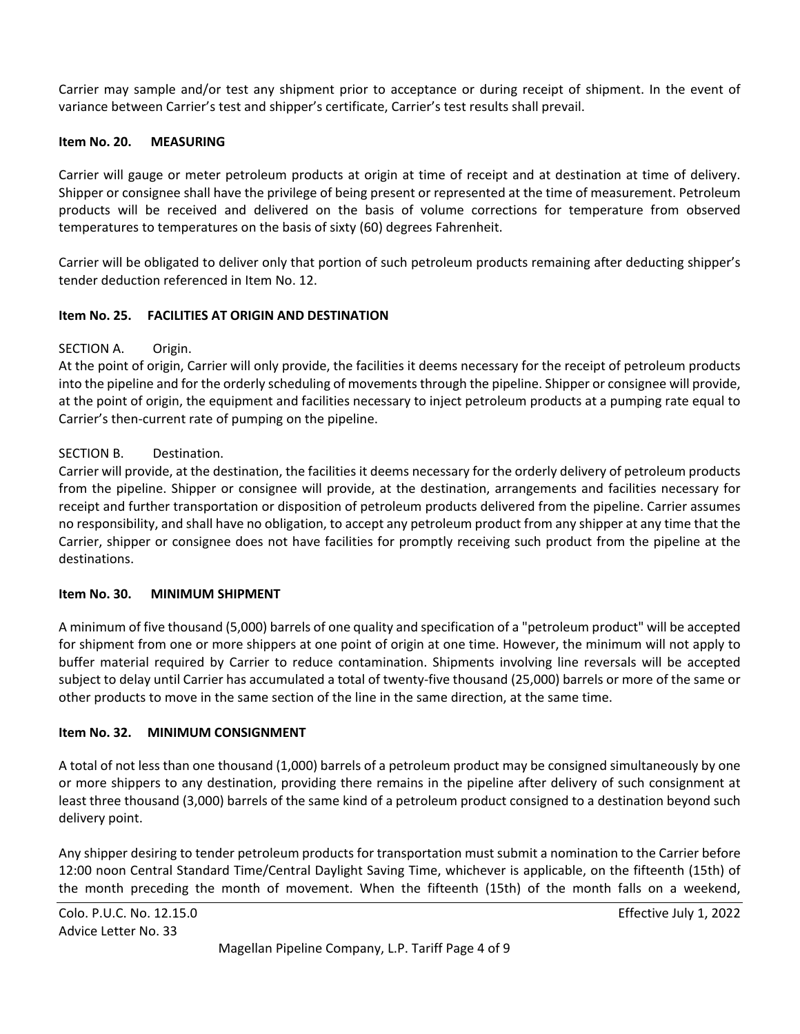Carrier may sample and/or test any shipment prior to acceptance or during receipt of shipment. In the event of variance between Carrier's test and shipper's certificate, Carrier's test results shall prevail.

#### **Item No. 20. MEASURING**

Carrier will gauge or meter petroleum products at origin at time of receipt and at destination at time of delivery. Shipper or consignee shall have the privilege of being present or represented at the time of measurement. Petroleum products will be received and delivered on the basis of volume corrections for temperature from observed temperatures to temperatures on the basis of sixty (60) degrees Fahrenheit.

Carrier will be obligated to deliver only that portion of such petroleum products remaining after deducting shipper's tender deduction referenced in Item No. 12.

#### **Item No. 25. FACILITIES AT ORIGIN AND DESTINATION**

#### SECTION A. Origin.

At the point of origin, Carrier will only provide, the facilities it deems necessary for the receipt of petroleum products into the pipeline and for the orderly scheduling of movements through the pipeline. Shipper or consignee will provide, at the point of origin, the equipment and facilities necessary to inject petroleum products at a pumping rate equal to Carrier's then-current rate of pumping on the pipeline.

#### SECTION B. Destination.

Carrier will provide, at the destination, the facilities it deems necessary for the orderly delivery of petroleum products from the pipeline. Shipper or consignee will provide, at the destination, arrangements and facilities necessary for receipt and further transportation or disposition of petroleum products delivered from the pipeline. Carrier assumes no responsibility, and shall have no obligation, to accept any petroleum product from any shipper at any time that the Carrier, shipper or consignee does not have facilities for promptly receiving such product from the pipeline at the destinations.

#### **Item No. 30. MINIMUM SHIPMENT**

A minimum of five thousand (5,000) barrels of one quality and specification of a "petroleum product" will be accepted for shipment from one or more shippers at one point of origin at one time. However, the minimum will not apply to buffer material required by Carrier to reduce contamination. Shipments involving line reversals will be accepted subject to delay until Carrier has accumulated a total of twenty-five thousand (25,000) barrels or more of the same or other products to move in the same section of the line in the same direction, at the same time.

#### **Item No. 32. MINIMUM CONSIGNMENT**

A total of not less than one thousand (1,000) barrels of a petroleum product may be consigned simultaneously by one or more shippers to any destination, providing there remains in the pipeline after delivery of such consignment at least three thousand (3,000) barrels of the same kind of a petroleum product consigned to a destination beyond such delivery point.

Any shipper desiring to tender petroleum products for transportation must submit a nomination to the Carrier before 12:00 noon Central Standard Time/Central Daylight Saving Time, whichever is applicable, on the fifteenth (15th) of the month preceding the month of movement. When the fifteenth (15th) of the month falls on a weekend,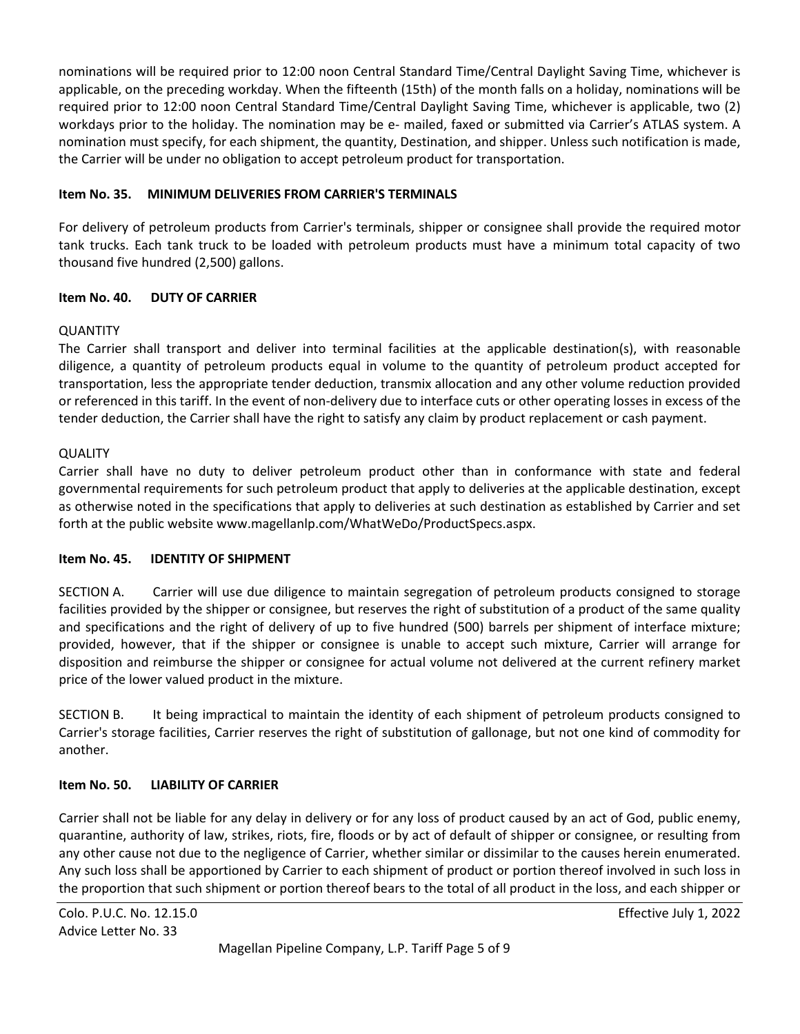nominations will be required prior to 12:00 noon Central Standard Time/Central Daylight Saving Time, whichever is applicable, on the preceding workday. When the fifteenth (15th) of the month falls on a holiday, nominations will be required prior to 12:00 noon Central Standard Time/Central Daylight Saving Time, whichever is applicable, two (2) workdays prior to the holiday. The nomination may be e- mailed, faxed or submitted via Carrier's ATLAS system. A nomination must specify, for each shipment, the quantity, Destination, and shipper. Unless such notification is made, the Carrier will be under no obligation to accept petroleum product for transportation.

#### **Item No. 35. MINIMUM DELIVERIES FROM CARRIER'S TERMINALS**

For delivery of petroleum products from Carrier's terminals, shipper or consignee shall provide the required motor tank trucks. Each tank truck to be loaded with petroleum products must have a minimum total capacity of two thousand five hundred (2,500) gallons.

#### **Item No. 40. DUTY OF CARRIER**

#### QUANTITY

The Carrier shall transport and deliver into terminal facilities at the applicable destination(s), with reasonable diligence, a quantity of petroleum products equal in volume to the quantity of petroleum product accepted for transportation, less the appropriate tender deduction, transmix allocation and any other volume reduction provided or referenced in this tariff. In the event of non-delivery due to interface cuts or other operating losses in excess of the tender deduction, the Carrier shall have the right to satisfy any claim by product replacement or cash payment.

#### **QUALITY**

Carrier shall have no duty to deliver petroleum product other than in conformance with state and federal governmental requirements for such petroleum product that apply to deliveries at the applicable destination, except as otherwise noted in the specifications that apply to deliveries at such destination as established by Carrier and set forth at the public website www.magellanlp.com/WhatWeDo/ProductSpecs.aspx.

#### **Item No. 45. IDENTITY OF SHIPMENT**

SECTION A. Carrier will use due diligence to maintain segregation of petroleum products consigned to storage facilities provided by the shipper or consignee, but reserves the right of substitution of a product of the same quality and specifications and the right of delivery of up to five hundred (500) barrels per shipment of interface mixture; provided, however, that if the shipper or consignee is unable to accept such mixture, Carrier will arrange for disposition and reimburse the shipper or consignee for actual volume not delivered at the current refinery market price of the lower valued product in the mixture.

SECTION B. It being impractical to maintain the identity of each shipment of petroleum products consigned to Carrier's storage facilities, Carrier reserves the right of substitution of gallonage, but not one kind of commodity for another.

### **Item No. 50. LIABILITY OF CARRIER**

Carrier shall not be liable for any delay in delivery or for any loss of product caused by an act of God, public enemy, quarantine, authority of law, strikes, riots, fire, floods or by act of default of shipper or consignee, or resulting from any other cause not due to the negligence of Carrier, whether similar or dissimilar to the causes herein enumerated. Any such loss shall be apportioned by Carrier to each shipment of product or portion thereof involved in such loss in the proportion that such shipment or portion thereof bears to the total of all product in the loss, and each shipper or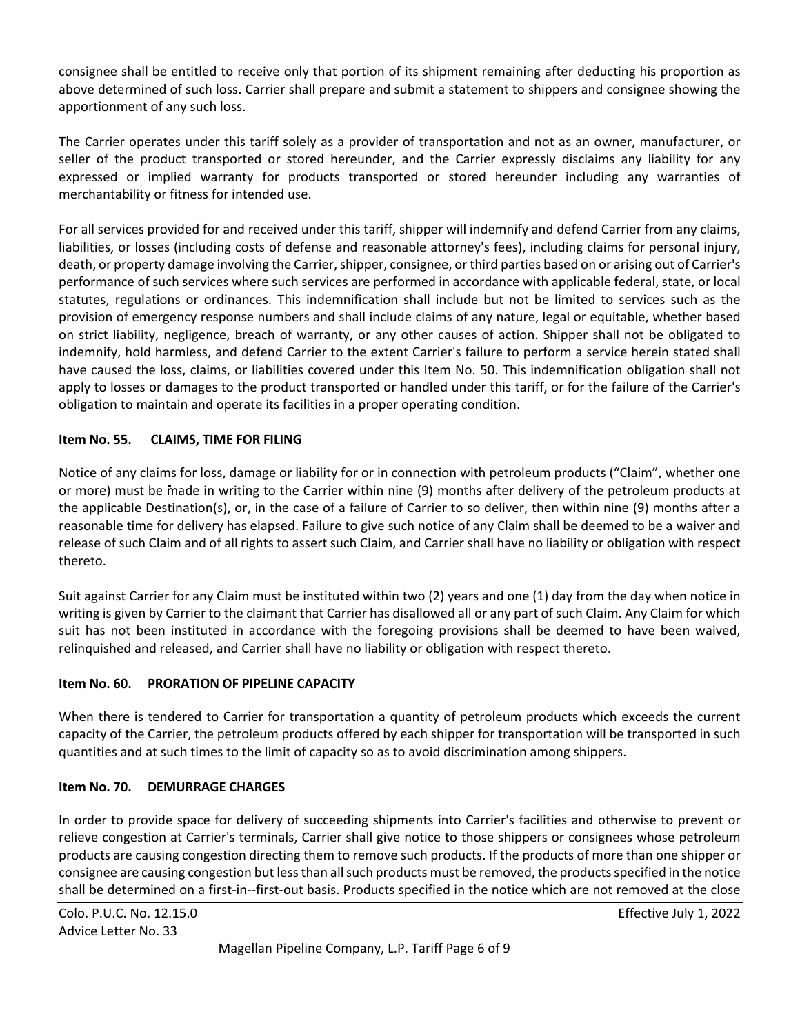consignee shall be entitled to receive only that portion of its shipment remaining after deducting his proportion as above determined of such loss. Carrier shall prepare and submit a statement to shippers and consignee showing the apportionment of any such loss.

The Carrier operates under this tariff solely as a provider of transportation and not as an owner, manufacturer, or seller of the product transported or stored hereunder, and the Carrier expressly disclaims any liability for any expressed or implied warranty for products transported or stored hereunder including any warranties of merchantability or fitness for intended use.

For all services provided for and received under this tariff, shipper will indemnify and defend Carrier from any claims, liabilities, or losses (including costs of defense and reasonable attorney's fees), including claims for personal injury, death, or property damage involving the Carrier, shipper, consignee, or third parties based on or arising out of Carrier's performance of such services where such services are performed in accordance with applicable federal, state, or local statutes, regulations or ordinances. This indemnification shall include but not be limited to services such as the provision of emergency response numbers and shall include claims of any nature, legal or equitable, whether based on strict liability, negligence, breach of warranty, or any other causes of action. Shipper shall not be obligated to indemnify, hold harmless, and defend Carrier to the extent Carrier's failure to perform a service herein stated shall have caused the loss, claims, or liabilities covered under this Item No. 50. This indemnification obligation shall not apply to losses or damages to the product transported or handled under this tariff, or for the failure of the Carrier's obligation to maintain and operate its facilities in a proper operating condition.

#### **Item No. 55. CLAIMS, TIME FOR FILING**

Notice of any claims for loss, damage or liability for or in connection with petroleum products ("Claim", whether one or more) must be made in writing to the Carrier within nine (9) months after delivery of the petroleum products at the applicable Destination(s), or, in the case of a failure of Carrier to so deliver, then within nine (9) months after a reasonable time for delivery has elapsed. Failure to give such notice of any Claim shall be deemed to be a waiver and release of such Claim and of all rights to assert such Claim, and Carrier shall have no liability or obligation with respect thereto.

Suit against Carrier for any Claim must be instituted within two (2) years and one (1) day from the day when notice in writing is given by Carrier to the claimant that Carrier has disallowed all or any part of such Claim. Any Claim for which suit has not been instituted in accordance with the foregoing provisions shall be deemed to have been waived, relinquished and released, and Carrier shall have no liability or obligation with respect thereto.

#### **Item No. 60. PRORATION OF PIPELINE CAPACITY**

When there is tendered to Carrier for transportation a quantity of petroleum products which exceeds the current capacity of the Carrier, the petroleum products offered by each shipper for transportation will be transported in such quantities and at such times to the limit of capacity so as to avoid discrimination among shippers.

### **Item No. 70. DEMURRAGE CHARGES**

In order to provide space for delivery of succeeding shipments into Carrier's facilities and otherwise to prevent or relieve congestion at Carrier's terminals, Carrier shall give notice to those shippers or consignees whose petroleum products are causing congestion directing them to remove such products. If the products of more than one shipper or consignee are causing congestion but less than all such products must be removed, the products specified in the notice shall be determined on a first-in--first-out basis. Products specified in the notice which are not removed at the close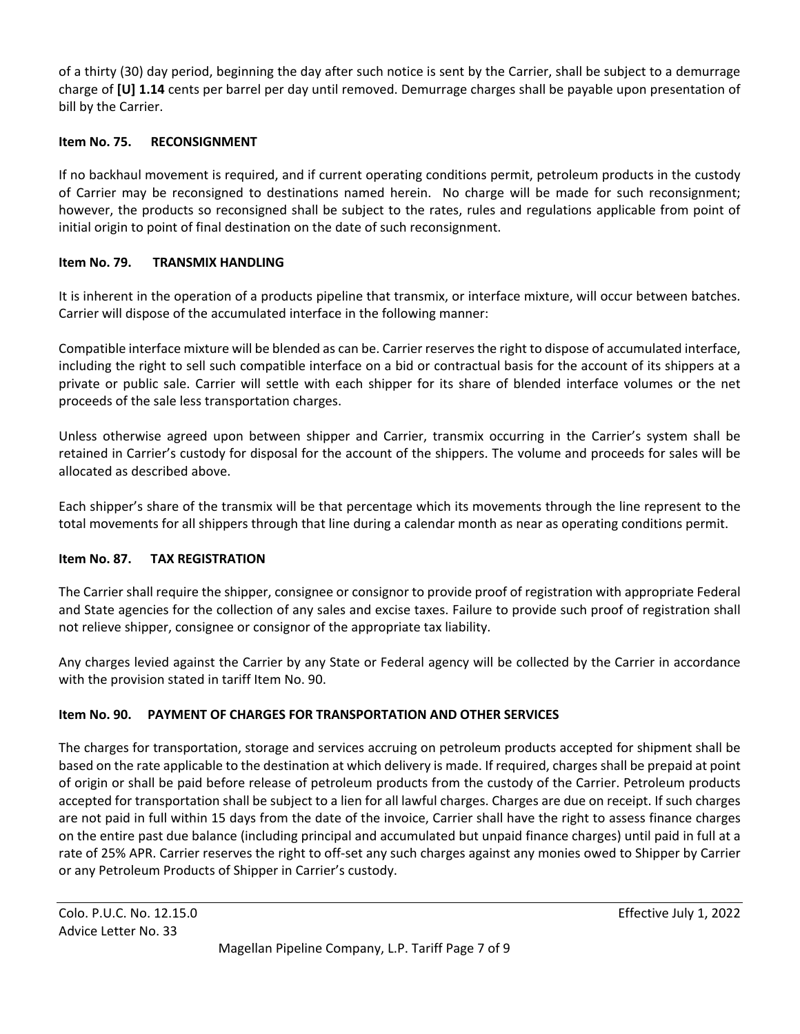of a thirty (30) day period, beginning the day after such notice is sent by the Carrier, shall be subject to a demurrage charge of **[U] 1.14** cents per barrel per day until removed. Demurrage charges shall be payable upon presentation of bill by the Carrier.

#### **Item No. 75. RECONSIGNMENT**

If no backhaul movement is required, and if current operating conditions permit, petroleum products in the custody of Carrier may be reconsigned to destinations named herein. No charge will be made for such reconsignment; however, the products so reconsigned shall be subject to the rates, rules and regulations applicable from point of initial origin to point of final destination on the date of such reconsignment.

#### **Item No. 79. TRANSMIX HANDLING**

It is inherent in the operation of a products pipeline that transmix, or interface mixture, will occur between batches. Carrier will dispose of the accumulated interface in the following manner:

Compatible interface mixture will be blended as can be. Carrier reserves the right to dispose of accumulated interface, including the right to sell such compatible interface on a bid or contractual basis for the account of its shippers at a private or public sale. Carrier will settle with each shipper for its share of blended interface volumes or the net proceeds of the sale less transportation charges.

Unless otherwise agreed upon between shipper and Carrier, transmix occurring in the Carrier's system shall be retained in Carrier's custody for disposal for the account of the shippers. The volume and proceeds for sales will be allocated as described above.

Each shipper's share of the transmix will be that percentage which its movements through the line represent to the total movements for all shippers through that line during a calendar month as near as operating conditions permit.

#### **Item No. 87. TAX REGISTRATION**

The Carrier shall require the shipper, consignee or consignor to provide proof of registration with appropriate Federal and State agencies for the collection of any sales and excise taxes. Failure to provide such proof of registration shall not relieve shipper, consignee or consignor of the appropriate tax liability.

Any charges levied against the Carrier by any State or Federal agency will be collected by the Carrier in accordance with the provision stated in tariff Item No. 90.

#### **Item No. 90. PAYMENT OF CHARGES FOR TRANSPORTATION AND OTHER SERVICES**

The charges for transportation, storage and services accruing on petroleum products accepted for shipment shall be based on the rate applicable to the destination at which delivery is made. If required, charges shall be prepaid at point of origin or shall be paid before release of petroleum products from the custody of the Carrier. Petroleum products accepted for transportation shall be subject to a lien for all lawful charges. Charges are due on receipt. If such charges are not paid in full within 15 days from the date of the invoice, Carrier shall have the right to assess finance charges on the entire past due balance (including principal and accumulated but unpaid finance charges) until paid in full at a rate of 25% APR. Carrier reserves the right to off-set any such charges against any monies owed to Shipper by Carrier or any Petroleum Products of Shipper in Carrier's custody.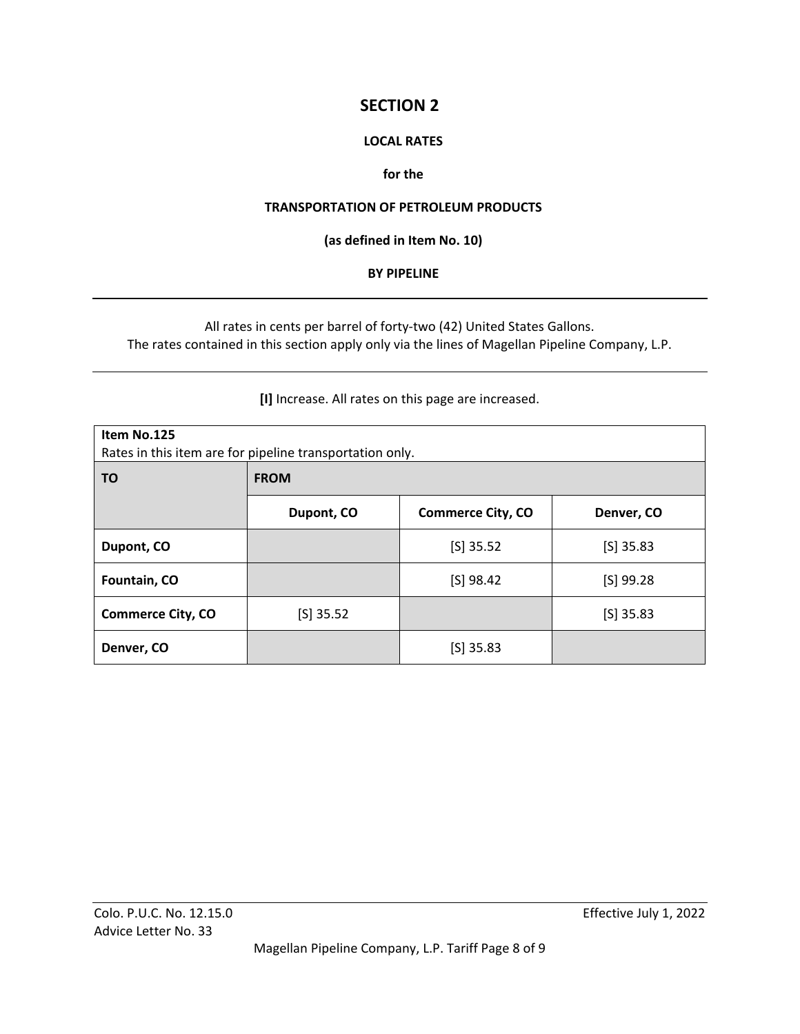# **SECTION 2**

#### **LOCAL RATES**

#### **for the**

#### **TRANSPORTATION OF PETROLEUM PRODUCTS**

#### **(as defined in Item No. 10)**

#### **BY PIPELINE**

All rates in cents per barrel of forty-two (42) United States Gallons. The rates contained in this section apply only via the lines of Magellan Pipeline Company, L.P.

**[I]** Increase. All rates on this page are increased.

| Item No.125<br>Rates in this item are for pipeline transportation only. |             |                          |             |  |
|-------------------------------------------------------------------------|-------------|--------------------------|-------------|--|
| ΤO                                                                      | <b>FROM</b> |                          |             |  |
|                                                                         | Dupont, CO  | <b>Commerce City, CO</b> | Denver, CO  |  |
| Dupont, CO                                                              |             | $[S]$ 35.52              | $[S]$ 35.83 |  |
| Fountain, CO                                                            |             | $[S]$ 98.42              | $[S]$ 99.28 |  |
| <b>Commerce City, CO</b>                                                | $[S]$ 35.52 |                          | $[S]$ 35.83 |  |
| Denver, CO                                                              |             | $[S]$ 35.83              |             |  |